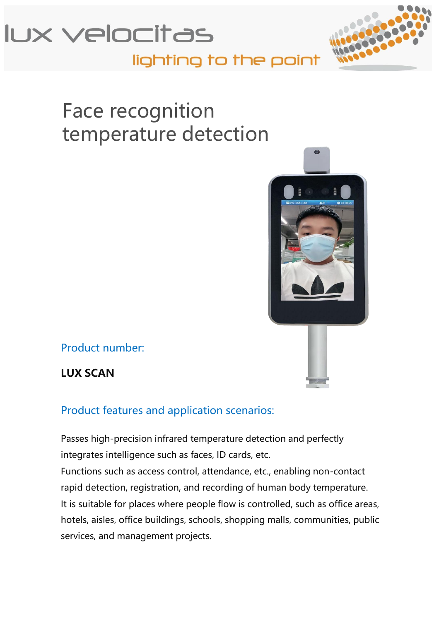



## lighting to the point

# Face recognition temperature detection



Product number:

**LUX SCAN**

Product features and application scenarios:

Passes high-precision infrared temperature detection and perfectly integrates intelligence such as faces, ID cards, etc. Functions such as access control, attendance, etc., enabling non-contact rapid detection, registration, and recording of human body temperature. It is suitable for places where people flow is controlled, such as office areas, hotels, aisles, office buildings, schools, shopping malls, communities, public services, and management projects.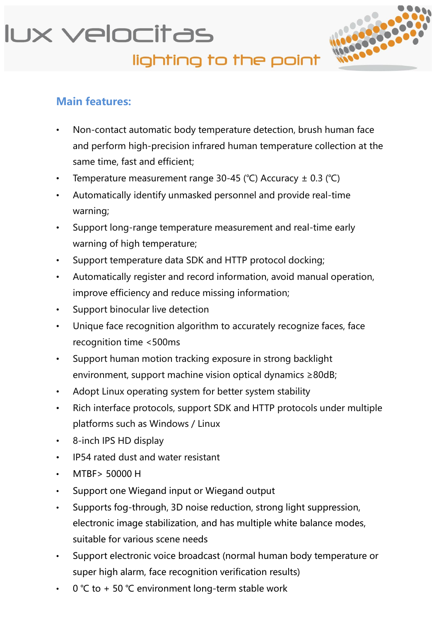

#### **Main features:**

- Non-contact automatic body temperature detection, brush human face and perform high-precision infrared human temperature collection at the same time, fast and efficient;
- Temperature measurement range 30-45 (℃) Accuracy ± 0.3 (℃)
- Automatically identify unmasked personnel and provide real-time warning;
- Support long-range temperature measurement and real-time early warning of high temperature;
- Support temperature data SDK and HTTP protocol docking;
- Automatically register and record information, avoid manual operation, improve efficiency and reduce missing information;
- Support binocular live detection
- Unique face recognition algorithm to accurately recognize faces, face recognition time <500ms
- Support human motion tracking exposure in strong backlight environment, support machine vision optical dynamics ≥80dB;
- Adopt Linux operating system for better system stability
- Rich interface protocols, support SDK and HTTP protocols under multiple platforms such as Windows / Linux
- 8-inch IPS HD display
- IP54 rated dust and water resistant
- MTBF> 50000 H
- Support one Wiegand input or Wiegand output
- Supports fog-through, 3D noise reduction, strong light suppression, electronic image stabilization, and has multiple white balance modes, suitable for various scene needs
- Support electronic voice broadcast (normal human body temperature or super high alarm, face recognition verification results)
- 0 °C to + 50 °C environment long-term stable work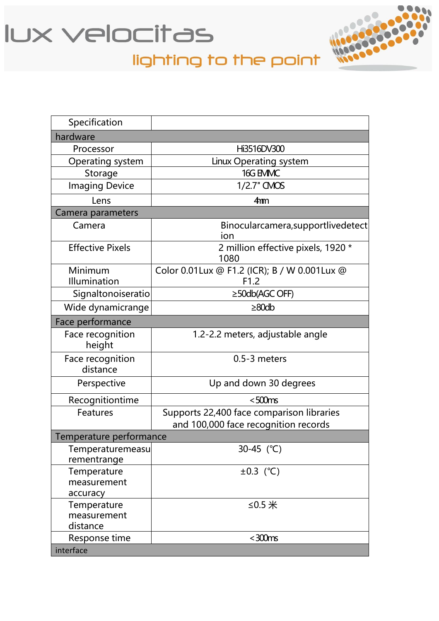



# lighting to the point

| Specification                   |                                                |  |
|---------------------------------|------------------------------------------------|--|
| hardware                        |                                                |  |
| Processor                       | Hi3516DV300                                    |  |
| Operating system                | Linux Operating system                         |  |
| Storage                         | 16G EMMC                                       |  |
| <b>Imaging Device</b>           | $1/2.7"$ CMOS                                  |  |
| Lens                            | 4 <sub>mm</sub>                                |  |
| Camera parameters               |                                                |  |
| Camera                          | Binocularcamera, supportlivedetect<br>ion      |  |
| <b>Effective Pixels</b>         | 2 million effective pixels, 1920 *<br>1080     |  |
| Minimum                         | Color 0.01 Lux @ F1.2 (ICR); B / W 0.001 Lux @ |  |
| Illumination                    | F1.2                                           |  |
| Signaltonoiseratio              | $\geq$ 50db(AGC OFF)                           |  |
| Wide dynamicrange               | $\geq 80$ db                                   |  |
| Face performance                |                                                |  |
| Face recognition<br>height      | 1.2-2.2 meters, adjustable angle               |  |
| Face recognition<br>distance    | $0.5 - 3$ meters                               |  |
| Perspective                     | Up and down 30 degrees                         |  |
| Recognitiontime                 | $<$ 500 $ms$                                   |  |
| Features                        | Supports 22,400 face comparison libraries      |  |
|                                 | and 100,000 face recognition records           |  |
| Temperature performance         |                                                |  |
| Temperaturemeasu<br>rementrange | 30-45 (°C)                                     |  |
| Temperature                     | $\pm 0.3$ (°C)                                 |  |
| measurement                     |                                                |  |
| accuracy                        |                                                |  |
| Temperature                     | ≤0.5 $#$                                       |  |
| measurement                     |                                                |  |
| distance                        |                                                |  |
| Response time                   | $<$ 300 $ms$                                   |  |
| interface                       |                                                |  |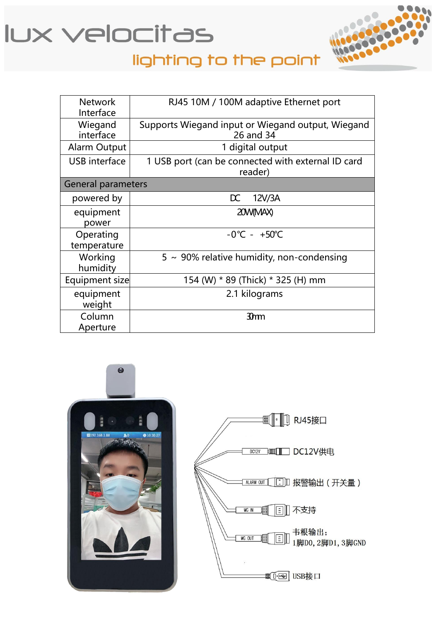



## lighting to the point

| <b>Network</b><br>Interface | RJ45 10M / 100M adaptive Ethernet port                         |
|-----------------------------|----------------------------------------------------------------|
| Wiegand<br>interface        | Supports Wiegand input or Wiegand output, Wiegand<br>26 and 34 |
| <b>Alarm Output</b>         | 1 digital output                                               |
| <b>USB</b> interface        | 1 USB port (can be connected with external ID card<br>reader)  |
| <b>General parameters</b>   |                                                                |
| powered by                  | $\mathsf{D}\mathsf{C}$<br>12V/3A                               |
| equipment<br>power          | 20W(MAX)                                                       |
| Operating<br>temperature    | $-0^{\circ}$ C - $+50^{\circ}$ C                               |
| Working<br>humidity         | $5 \sim 90\%$ relative humidity, non-condensing                |
| Equipment size              | 154 (W) * 89 (Thick) * 325 (H) mm                              |
| equipment<br>weight         | 2.1 kilograms                                                  |
| Column<br>Aperture          | 3mm                                                            |